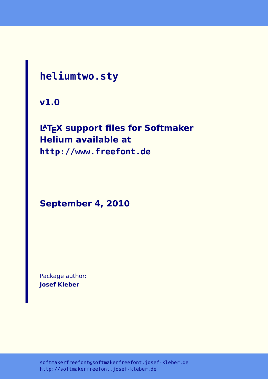**heliumtwo.sty**

**v1.0**

# **LATEX support files for Softmaker Helium available at <http://www.freefont.de>**

**September 4, 2010**

Package author: **Josef Kleber**

[softmakerfreefont@softmakerfreefont.josef-kleber.de](mailto:softmakerfreefont@softmakerfreefont.josef-kleber.de) <http://softmakerfreefont.josef-kleber.de>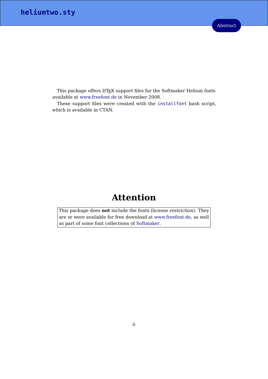This package offers L<sup>AT</sup>EX support files for the Softmaker Helium fonts available at [www.freefont.de](http://www.freefont.de) in November 2008.

These support files were created with the [installfont](http://dante.ctan.org/tex-archive/help/Catalogue/entries/installfont.html) bash script, which is available in CTAN.

## **Attention**

This package does **not** include the fonts (license restriction). They are or were available for free download at [www.freefont.de,](http://www.freefont.de) as well as part of some font collections of [Softmaker.](http://www.softmaker.com/english/fonts_en.htm)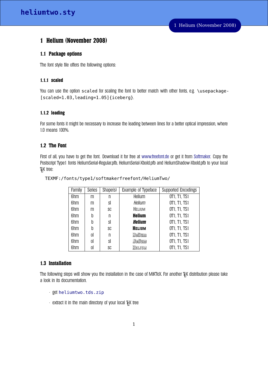## **1 Helium (November 2008)**

#### **1.1 Package options**

The font style file offers the following options:

#### **1.1.1 scaled**

You can use the option scaled for scaling the font to better match with other fonts, e.g. \usepackage-[scaled=1.03,leading=1.05]{iceberg}.

#### **1.1.2 leading**

For some fonts it might be necessary to increase the leading between lines for a better optical impression, where 1.0 means 100%.

#### **1.2 The Font**

First of all, you have to get the font. Download it for free at [www.freefont.de](http://www.freefont.de) or get it from [Softmaker.](http://www.softmaker.com/english/fonts_en.htm) Copy the Postscript Type1 fonts HeliumSerial-Regular.pfb, HeliumSerial-Xbold.pfb and HeliumShadow-Xbold.pfb to your local TE X tree:

| Family | <b>Series</b> | Shape(s) | Example of Typeface | <b>Supported Encodings</b> |
|--------|---------------|----------|---------------------|----------------------------|
| 6hm    | m             | n        | Helium              | OT1, T1, TS1               |
| 6hm    | m             | sl       | Helium              | OT1, T1, TS1               |
| 6hm    | m             | SC       | HELIUM              | OT1, T1, TS1               |
| 6hm    | h             | n        | <b>Helium</b>       | OT1, T1, TS1               |
| 6hm    | h             | sl       | <b>Helium</b>       | OT1, T1, TS1               |
| 6hm    | h             | SC       | <b>HELIUM</b>       | OT1, T1, TS1               |
| 6hm    | 0l            | n        | Heltum              | OT1, T1, TS1               |
| 6hm    | 0l            | sl       | Heltum              | OT1, T1, TS1               |
| 6hm    | 0l            | SC       | Helium              | OT1, T1, TS1               |
|        |               |          |                     |                            |

TEXMF:/fonts/type1/softmakerfreefont/HeliumTwo/

#### **1.3 Installation**

The following steps will show you the installation in the case of MiKTeX. For another T<sub>E</sub>X distribution please take a look in its documentation.

- get [heliumtwo.tds.zip](http://mirror.ctan.org/install/fonts/softmakerfreefont/heliumtwo.tds.zip)
- $\cdot$  extract it in the main directory of your local TEX tree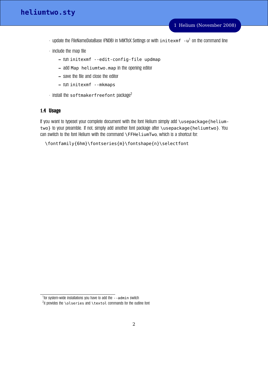- $\cdot$  update the FileNameDataBase (FNDB) in MiKTeX Settings or with <code>initexmf</code>  $\,$   $\sf u^1$  $\sf u^1$  on the command line
- include the map file
	- **–** run initexmf --edit-config-file updmap
	- **–** add Map heliumtwo.map in the opening editor
	- **–** save the file and close the editor
	- **–** run initexmf --mkmaps
- $\cdot$  install the softmakerfreefont package<sup>[2](#page-3-1)</sup>

#### **1.4 Usage**

If you want to typeset your complete document with the font Helium simply add \usepackage{heliumtwo} to your preamble. If not, simply add another font package after \usepackage{heliumtwo}. You can switch to the font Helium with the command \FFHeliumTwo, which is a shortcut for:

\fontfamily{6hm}\fontseries{m}\fontshape{n}\selectfont

<span id="page-3-0"></span> $1$  for system-wide installations you have to add the  $-$ -admin switch

<span id="page-3-1"></span> $^2$ it provides the \olseries and \textol commands for the outline font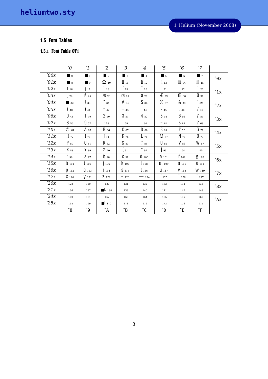# heliumtwo.sty

1 Helium (November 2008)

### 1.5 Font Tables

#### 1.5.1 Font Table OT1

|      | $\theta$             | $\mathbf{1}$     | $\overline{c}$      | $\mathcal{L}$                        | $\overline{4}$             | $\overline{5}$      | $6\overline{6}$                                                                           | $7^{\prime}$      |                                          |
|------|----------------------|------------------|---------------------|--------------------------------------|----------------------------|---------------------|-------------------------------------------------------------------------------------------|-------------------|------------------------------------------|
| '00x | $\Box$ 0             | $\blacksquare$ 1 | $\blacksquare$ 2    | $\blacksquare$ 3                     | $\blacksquare$ 4           | $\blacksquare$ 5    | $\blacksquare$ 6                                                                          | $\blacksquare$    | $^{\prime\prime}$ 0x                     |
| 01x  | $\blacksquare$ 8     | $\blacksquare$ 9 | $\Omega$ 10         | $\mathop{\rm ff}_{11}$               | $\overline{\mathbf{I}}$ 12 | $\mathbf{f}$ 13     | $\overline{\text{f}}\text{f}$ $\overline{\text{f}}\text{f}$ $\overline{\text{f}}\text{f}$ | III <sub>15</sub> |                                          |
| '02x | 116                  | $\frac{1}{2}$    | 18                  | 19                                   | $\overline{z}$ 20          | $21\,$              | 22                                                                                        | 23                | $^{\prime\prime}1x$                      |
| '03x | 24                   | $\beta_{25}$     | $x_{26}$            | $CD$ 27                              | $\mathbf{0}$ 28            | $AE_{29}$           | <b>E</b> 30                                                                               | $\mathbf{0}$ 31   |                                          |
| 04x  | 32                   | $\frac{1}{33}$   | $\frac{1}{34}$      | $#$ <sub>35</sub>                    | \$36                       | 9637                | & 38                                                                                      | $\frac{1}{39}$    | "2x                                      |
| 05x  | $\binom{40}{}$       | 41               | $*$ 42              | $+$ 43                               | , 44                       | $-45$               | .46                                                                                       | $\frac{1}{47}$    |                                          |
| 06x  | $0\,$ 48             | $1_{49}$         | 250                 | $3_{51}$                             | $4_{52}$                   | 53                  | $6_{54}$                                                                                  | 7 <sub>55</sub>   | $^{\prime\prime}$ 3x                     |
| 07x  | 8 56                 | $9_{57}$         | $\frac{1}{2}$ 58    | $\frac{1}{2}$ 59                     | $\mathsf{I}$ 60            | $= 61$              | $\dot{b}$ 62                                                                              | $7_{63}$          |                                          |
| 10x  | $@_{64}$             | A 65             | $B_{66}$            | $C_{67}$                             | $D_{68}$                   | $E_{69}$            | $F_{70}$                                                                                  | $G_{71}$          | "4x                                      |
| 11x  | $H_{72}$             | $\frac{1}{2}$    | $\int$ 74           | $K_{75}$                             | $L_{76}$                   | M 77                | N 78                                                                                      | 079               |                                          |
| 12x  | $P_{80}$             | $\mathbb{Q}$ 81  | $R_{82}$            | $S_{83}$                             | $T_{84}$                   | $\bigcup$ 85        | $V_{86}$                                                                                  | W 87              | $^{\prime\prime}$ 5x                     |
| 13x  | X 88                 | $Y_{89}$         | $Z_{.90}$           | $\frac{1}{91}$                       | $\frac{a}{a}$ 92           | $\frac{1}{93}$      | $\frac{1}{2}$ 94                                                                          | 95                |                                          |
| 14x  | $\frac{1}{6}$ 96     | $a_{97}$         | $b_{98}$            | $C_{99}$                             | d <sub>100</sub>           | $e_{101}$           | $\int 102$                                                                                | g 103             | "6x                                      |
| 15x  | $h_{104}$            | 1105             | 106                 | <b>k</b> 107                         | $1_{108}$                  | m 109               | $n_{110}$                                                                                 | 0111              |                                          |
| 16x  | $\mathfrak{p}_{112}$ | $Q_{113}$        | $\int 114$          | S <sub>115</sub>                     | $\frac{1}{16}$             | U 117               | V 118                                                                                     | W 119             | "7x                                      |
| 17x  | X 120                | $V_{121}$        | $Z_{122}$           | $-123$                               | $-124$                     | 125                 | 126                                                                                       | 127               |                                          |
| 20x  | 128                  | 129              | 130                 | 131                                  | 132                        | 133                 | 134                                                                                       | 135               | $^{\prime\prime}8x$                      |
| 21x  | 136                  | 137              | $\blacksquare$ 138  | 139                                  | 140                        | 141                 | 142                                                                                       | 143               |                                          |
| 24x  | 160                  | 161              | 162                 | 163                                  | 164                        | 165                 | 166                                                                                       | 167               | $\sqrt{\phantom{a}}\mathsf{A}\mathsf{x}$ |
| 25x  | 168                  | 169              | $\blacksquare$ 170  | 171                                  | 172                        | 173                 | 174                                                                                       | 175               |                                          |
|      | $^{\prime\prime}8$   | ″9               | $^{\prime\prime}$ A | $\mathrm{^{\prime\prime}}\mathrm{B}$ | $^{\prime\prime}$ C        | $^{\prime\prime}$ D | $^{\prime\prime}$ E                                                                       | $\overline{F}$    |                                          |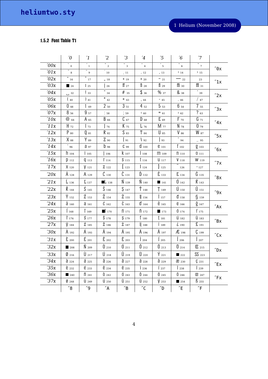### 1.5.2 Font Table T1

|                 | $\theta$                 | $\mathbf{1}$                    | $\overline{c}$                         | $\mathfrak{B}$                       | $\frac{4}{4}$              | $\sqrt{5}$                 | $6^{\circ}$                 | $\mathcal{L}$      |                          |
|-----------------|--------------------------|---------------------------------|----------------------------------------|--------------------------------------|----------------------------|----------------------------|-----------------------------|--------------------|--------------------------|
| $'00x$          | $\overline{\cdot}$ 0     | $\overline{\cdot}$ <sub>1</sub> | $\overline{\widetilde{\phantom{w}}}_2$ | $\mathbb{F}_{3}$                     | $\overline{\phantom{a}}_4$ | $\overline{\phantom{a}}_5$ | $\overline{\cdot}$<br>6     | $rac{1}{\sqrt{7}}$ | $^{\prime\prime}$ 0x     |
| $^{\prime}01x$  | 8                        | $\mathbb{F}_{_{\! 9}}$          | 10                                     | , 11                                 | .12                        | , 13                       | $\langle 14$                | $+15$              |                          |
| '02x            | $\frac{a}{a}$ 16         | $\frac{1}{2}$ 17                | ,, 18                                  | « 19                                 | $*20$                      | $-21$                      | $-22$                       | 23                 | $^{\prime\prime}$ 1x     |
| $'03x$          | $\blacksquare$ 24        | 125                             | 26                                     | $\mathbb{f}$ 27                      | $\overline{\Pi}$ 28        | $fl_{29}$                  | $\int$ $\int$ 30            | $\int$ $\int$ 31   |                          |
| 04x             | $\overline{)}$ 32        | $\frac{1}{33}$                  | $\frac{1}{34}$                         | #35                                  | $\frac{8}{36}$             | 9637                       | & 38                        | $\frac{1}{39}$     | "2x                      |
| '05x            | $\binom{40}{}$           | J 41                            | $*$ 42                                 | $+$ 43                               | , 44                       | $-45$                      | .46                         | $/$ 47             |                          |
| 06x             | $0_{48}$                 | 149                             | 250                                    | 351                                  | $4_{52}$                   | $5_{53}$                   | $6_{54}$                    | 7 <sub>55</sub>    | "3x                      |
| 07x             | 8 56                     | $9_{57}$                        | $\frac{1}{2}$ 58                       | $\frac{1}{2}$ 59                     | $\langle 60$               | $=$ 61                     | $\rightarrow$ 62            | $?$ 63             |                          |
| 10x             | $@$ 64                   | A 65                            | $B_{66}$                               | $C_{67}$                             | $\mathsf{D}$ 68            | $E_{69}$                   | $F_{70}$                    | $G_{71}$           | $^{\prime\prime}$ 4x     |
| $11x$           | $H_{72}$                 | 173                             | $J_{74}$                               | $K_{75}$                             | $L_{76}$                   | M 77                       | $N$ 78 $\,$                 | 079                |                          |
| $^\prime\!12x$  | $P_{80}$                 | $Q_{81}$                        | $R_{82}$                               | $S_{83}$                             | $T_{84}$                   | $\bigcup$ 85               | $V_{86}$                    | $W_{87}$           | $^{\prime\prime}$ 5x     |
| 13x             | $X_{88}$                 | $Y_{89}$                        | $Z_{90}$                               | $\frac{1}{91}$                       | $\frac{1}{92}$             | $\frac{1}{93}$             | $\frac{1}{2}$ 94            | $-95$              |                          |
| $^\prime\! 14x$ | $^\prime$ 96             | $a_{97}$                        | $b_{98}$                               | $C_{99}$                             | $d_{100}$                  | $\theta$ 101               | $\int 102$                  | $g_{103}$          | $^{\prime\prime}$ 6x     |
| $'15x$          | $h_{104}$                | 1105                            | $\vert$ 106                            | $k$ 107                              | 1108                       | M 109                      | $n_{110}$                   | 0111               |                          |
| 16x             | $\mathfrak{p}_{112}$     | $q_{113}$                       | $I_{114}$                              | S <sub>115</sub>                     | $t_{116}$                  | U 117                      | V 118                       | W 119              | $^{\prime\prime}$ 7 x    |
| $17x$           | X 120                    | $V_{121}$                       | Z 122                                  | $\frac{1}{2}$                        | $\frac{1}{24}$             | $\frac{1}{25}$             | 126                         | $^{\circ}$ 127     |                          |
| 20x             | A 128                    | A 129                           | $\acute{C}$ 130                        | $\check{\text{C}}$ 131               | $\overline{D}$ 132         | $\check{E}$ 133            | E 134                       | $G_{135}$          | $^{\prime\prime}8\times$ |
| 21x             | $\int$ 136               | $\mathbf{L}_{137}$              | $\mathbf{L}_{138}$                     | N 139                                | N 140                      | $\blacksquare$ 141         | $0_{142}$                   | $\acute{R}$ 143    |                          |
| 22x             | $\tilde{R}_{144}$        | $\acute{S}$ 145                 | $\tilde{S}$ 146                        | $\int 147$                           | $\check{T}$ 148            | $\int 149$                 | $\bigcup$ 150               | $\tilde{U}$ 151    | $^{\prime\prime}9x$      |
| 23x             | $\ddot{Y}$ 152           | $\mathbb{Z}$ 153                | $\mathring{Z}$ 154                     | $Z_{155}$                            | $\parallel$ 156            | $\frac{1}{157}$            | $\mathbf{d}$ 158            | $§$ 159            |                          |
| 24x             | <u></u> 2 160            | a 161                           | 6162                                   | $\check{\text{C}}$ 163               | $\mathbf{d}_{164}$         | $\check{\mathsf{C}}$ 165   | <b>C</b> 166                | $\check{g}$ 167    | $^{"}$ Ax                |
| 25x             | $1_{168}$                | $\int 169$                      | $\blacksquare$ 170                     | $n_{171}$                            | $\check{\Pi}$ 172          | 173                        | 0174                        | $\int 175$         |                          |
| 26x             | $\check{\mathbf{I}}$ 176 | $S_{177}$                       | $\check{S}$ 178                        | \$179                                | $\int 180$                 | $\frac{1}{2}$ 181          | $\mathring{\mathsf{U}}$ 182 | U 183              | $^{\prime\prime}$ Bx     |
| 27x             | Ÿ 184                    | 2135                            | Ž 186                                  | Z 187                                | $\mathbf{I}$ 188           | 189                        | 4190                        | $E_{191}$          |                          |
| 30x             | A 192                    | A 193                           | A 194                                  | A 195                                | Å 196                      | A 197                      | Æ <sub>198</sub>            | $\int$ 199         | $^{\prime\prime}$ Cx     |
| 31x             | $\tilde{E}$ 200          | $E_{201}$                       | $\hat{E}$ 202                          | $\ddot{E}$ 203                       | $\frac{1}{204}$            | $\overline{1}$ 205         | $\hat{I}$ 206               | $\overline{I}$ 207 |                          |
| 32x             | 208                      | Ñ 209                           | $\tilde{0}$ 210                        | $0_{211}$                            | $\hat{0}$ 212              | $\overline{0}$ 213         | $\overline{0}$ 214          | Œ 215              | $^{\prime\prime}$ Dx     |
| 33x             | $\mathbf{0}$ 216         | $\hat{U}$ 217                   | $\bigcup_{218}$                        | $\hat{U}$ 219                        | $\ddot{\text{U}}$ 220      | $\acute{Y}$ 221            | $\blacksquare$ 222          | $SS_{223}$         |                          |
| 34x             | $\hat{d}$ 224            | $\acute{a}$ 225                 | $\hat{a}$ 226                          | $\tilde{a}$ 227                      | $\ddot{a}$ 228             | <b>å</b> 229               | <b>22</b> 230               | $\int$ 231         | "Ex                      |
| 35x             | $\hat{e}$ 232            | $\mathfrak{e}_{233}$            | $\hat{e}$ 234                          | $\ddot{\theta}$ 235                  | 1236                       | $\frac{1}{237}$            | $\hat{I}$ 238               | $\overline{1}$ 239 |                          |
| 36x             | 240                      | $\overline{\Pi}$ 241            | $\hat{0}$ 242                          | 0243                                 | $\hat{0}$ 244              | $\tilde{0}$ 245            | 0246                        | <b>CC</b> 247      | "Fx                      |
| 37x             | $\emptyset$ 248          | $\hat{U}$ 249                   | $\mathsf{U}$ 250                       | $\hat{U}$ 251                        | Ü 252                      | $\acute{V}$ 253            | 254                         | $\beta$ 255        |                          |
|                 | $^{\prime\prime}$ 8      | "9"                             | $^{"}$ A                               | $\mathrm{^{\prime\prime}}\mathrm{B}$ | $^{\prime\prime}$ C        | $^{\prime\prime}$ D        | $^{\prime\prime}$ E         | $\overline{F}$     |                          |